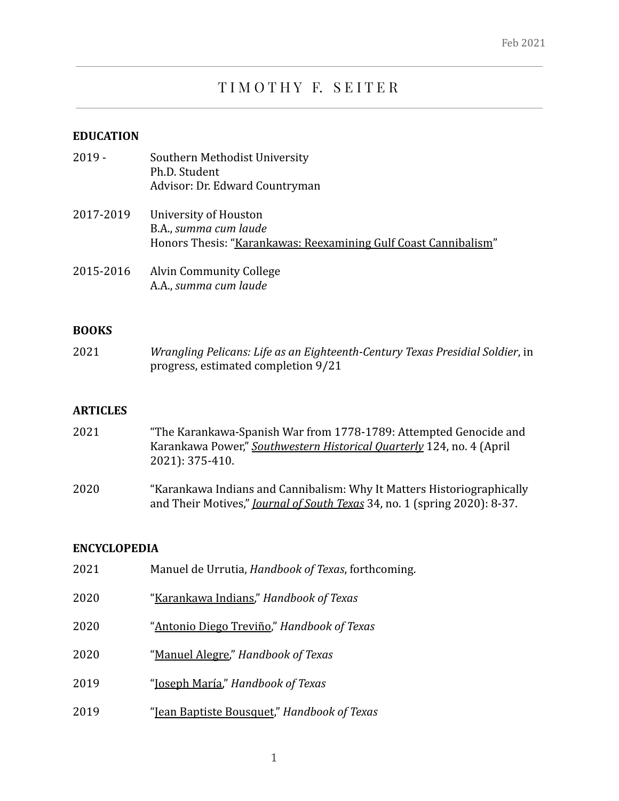# TIMOTHY F. SEITER

## **EDUCATION**

| $2019 -$  | Southern Methodist University<br>Ph.D. Student<br>Advisor: Dr. Edward Countryman                                  |
|-----------|-------------------------------------------------------------------------------------------------------------------|
| 2017-2019 | University of Houston<br>B.A., summa cum laude<br>Honors Thesis: "Karankawas: Reexamining Gulf Coast Cannibalism" |
| 2015-2016 | <b>Alvin Community College</b><br>A.A., summa cum laude                                                           |

## **BOOKS**

| 2021 | Wrangling Pelicans: Life as an Eighteenth-Century Texas Presidial Soldier, in |
|------|-------------------------------------------------------------------------------|
|      | progress, estimated completion 9/21                                           |

#### **ARTICLES**

| 2021 | "The Karankawa-Spanish War from 1778-1789: Attempted Genocide and                                                                                          |
|------|------------------------------------------------------------------------------------------------------------------------------------------------------------|
|      | Karankawa Power," Southwestern Historical Quarterly 124, no. 4 (April                                                                                      |
|      | 2021): 375-410.                                                                                                                                            |
| 2020 | "Karankawa Indians and Cannibalism: Why It Matters Historiographically<br>and Their Motives," <i>Journal of South Texas</i> 34, no. 1 (spring 2020): 8-37. |

## **ENCYCLOPEDIA**

| 2021 | Manuel de Urrutia, Handbook of Texas, forthcoming. |
|------|----------------------------------------------------|
| 2020 | "Karankawa Indians," Handbook of Texas             |
| 2020 | "Antonio Diego Treviño," Handbook of Texas         |
| 2020 | "Manuel Alegre," Handbook of Texas                 |
| 2019 | " <u>Ioseph María</u> ," Handbook of Texas         |
| 2019 | "Jean Baptiste Bousquet," Handbook of Texas        |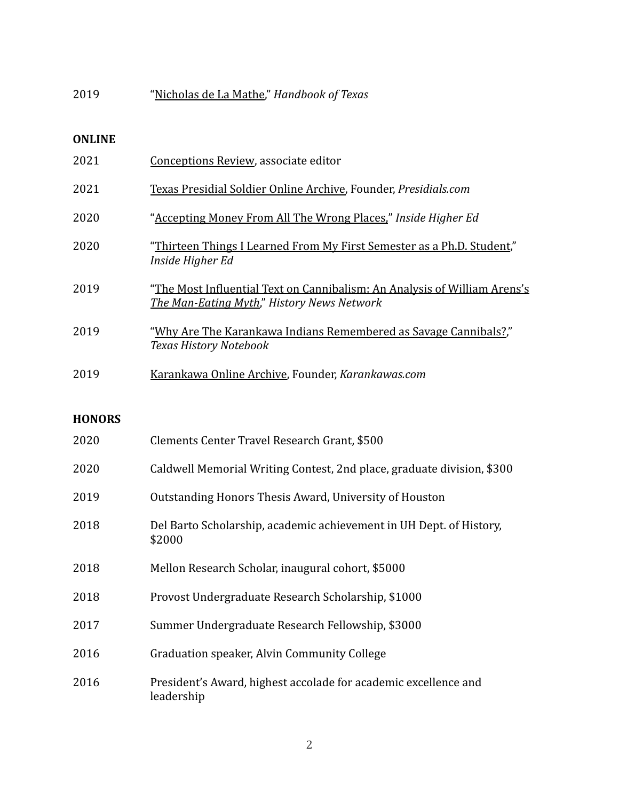| 2019 | "Nicholas de La Mathe," Handbook of Texas |
|------|-------------------------------------------|
|------|-------------------------------------------|

#### **ONLINE**

| 2021          | Conceptions Review, associate editor                                                                                    |
|---------------|-------------------------------------------------------------------------------------------------------------------------|
| 2021          | Texas Presidial Soldier Online Archive, Founder, Presidials.com                                                         |
| 2020          | "Accepting Money From All The Wrong Places," Inside Higher Ed                                                           |
| 2020          | "Thirteen Things I Learned From My First Semester as a Ph.D. Student,"<br>Inside Higher Ed                              |
| 2019          | "The Most Influential Text on Cannibalism: An Analysis of William Arens's<br>The Man-Eating Myth," History News Network |
| 2019          | "Why Are The Karankawa Indians Remembered as Savage Cannibals?,"<br>Texas History Notebook                              |
| 2019          | Karankawa Online Archive, Founder, Karankawas.com                                                                       |
| <b>HONORS</b> |                                                                                                                         |
| 2020          | Clements Center Travel Research Grant, \$500                                                                            |
| 2020          | Caldwell Memorial Writing Contest, 2nd place, graduate division, \$300                                                  |
| 2019          | Outstanding Honors Thesis Award, University of Houston                                                                  |
| 2018          | Del Barto Scholarship, academic achievement in UH Dept. of History,<br>\$2000                                           |
| 2018          | Mellon Research Scholar, inaugural cohort, \$5000                                                                       |
| 2018          | Provost Undergraduate Research Scholarship, \$1000                                                                      |
| 2017          | Summer Undergraduate Research Fellowship, \$3000                                                                        |
| 2016          | Graduation speaker, Alvin Community College                                                                             |
| 0.01          |                                                                                                                         |

 President's Award, highest accolade for academic excellence and leadership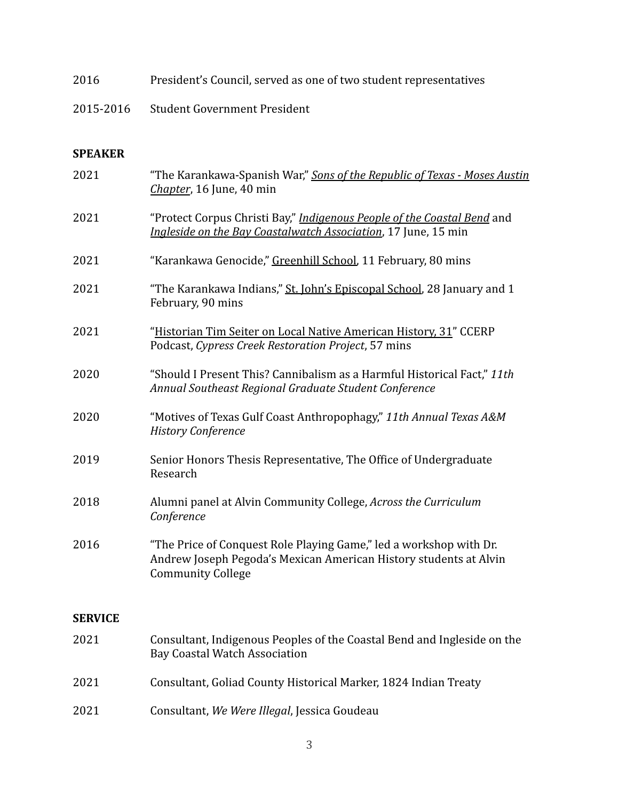- 2016 President's Council, served as one of two student representatives
- 2015-2016 Student Government President

### **SPEAKER**

| 2021           | "The Karankawa-Spanish War," Sons of the Republic of Texas - Moses Austin<br>Chapter, 16 June, 40 min                                                               |
|----------------|---------------------------------------------------------------------------------------------------------------------------------------------------------------------|
| 2021           | "Protect Corpus Christi Bay," Indigenous People of the Coastal Bend and<br>Ingleside on the Bay Coastalwatch Association, 17 June, 15 min                           |
| 2021           | "Karankawa Genocide," Greenhill School, 11 February, 80 mins                                                                                                        |
| 2021           | "The Karankawa Indians," St. John's Episcopal School, 28 January and 1<br>February, 90 mins                                                                         |
| 2021           | "Historian Tim Seiter on Local Native American History, 31" CCERP<br>Podcast, Cypress Creek Restoration Project, 57 mins                                            |
| 2020           | "Should I Present This? Cannibalism as a Harmful Historical Fact," 11th<br>Annual Southeast Regional Graduate Student Conference                                    |
| 2020           | "Motives of Texas Gulf Coast Anthropophagy," 11th Annual Texas A&M<br><b>History Conference</b>                                                                     |
| 2019           | Senior Honors Thesis Representative, The Office of Undergraduate<br>Research                                                                                        |
| 2018           | Alumni panel at Alvin Community College, Across the Curriculum<br>Conference                                                                                        |
| 2016           | "The Price of Conquest Role Playing Game," led a workshop with Dr.<br>Andrew Joseph Pegoda's Mexican American History students at Alvin<br><b>Community College</b> |
| <b>SERVICE</b> |                                                                                                                                                                     |
| 2021           | Consultant, Indigenous Peoples of the Coastal Bend and Ingleside on the<br><b>Bay Coastal Watch Association</b>                                                     |
| 2021           | Consultant, Goliad County Historical Marker, 1824 Indian Treaty                                                                                                     |
| 2021           | Consultant, We Were Illegal, Jessica Goudeau                                                                                                                        |
|                |                                                                                                                                                                     |